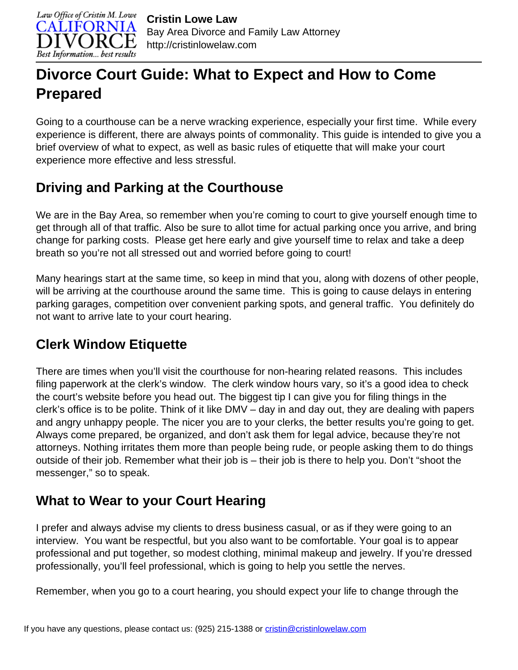

# **Divorce Court Guide: What to Expect and How to Come Prepared**

Going to a courthouse can be a nerve wracking experience, especially your first time. While every experience is different, there are always points of commonality. This guide is intended to give you a brief overview of what to expect, as well as basic rules of etiquette that will make your court experience more effective and less stressful.

### **Driving and Parking at the Courthouse**

We are in the Bay Area, so remember when you're coming to court to give yourself enough time to get through all of that traffic. Also be sure to allot time for actual parking once you arrive, and bring change for parking costs. Please get here early and give yourself time to relax and take a deep breath so you're not all stressed out and worried before going to court!

Many hearings start at the same time, so keep in mind that you, along with dozens of other people, will be arriving at the courthouse around the same time. This is going to cause delays in entering parking garages, competition over convenient parking spots, and general traffic. You definitely do not want to arrive late to your court hearing.

### **Clerk Window Etiquette**

There are times when you'll visit the courthouse for non-hearing related reasons. This includes filing paperwork at the clerk's window. The clerk window hours vary, so it's a good idea to check the court's website before you head out. The biggest tip I can give you for filing things in the clerk's office is to be polite. Think of it like DMV – day in and day out, they are dealing with papers and angry unhappy people. The nicer you are to your clerks, the better results you're going to get. Always come prepared, be organized, and don't ask them for legal advice, because they're not attorneys. Nothing irritates them more than people being rude, or people asking them to do things outside of their job. Remember what their job is – their job is there to help you. Don't "shoot the messenger," so to speak.

# **What to Wear to your Court Hearing**

I prefer and always advise my clients to dress business casual, or as if they were going to an interview. You want be respectful, but you also want to be comfortable. Your goal is to appear professional and put together, so modest clothing, minimal makeup and jewelry. If you're dressed professionally, you'll feel professional, which is going to help you settle the nerves.

Remember, when you go to a court hearing, you should expect your life to change through the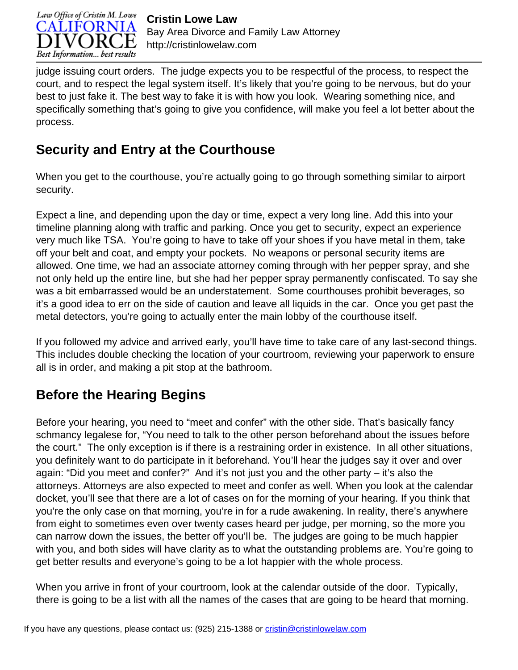

judge issuing court orders. The judge expects you to be respectful of the process, to respect the court, and to respect the legal system itself. It's likely that you're going to be nervous, but do your best to just fake it. The best way to fake it is with how you look. Wearing something nice, and specifically something that's going to give you confidence, will make you feel a lot better about the process.

# **Security and Entry at the Courthouse**

When you get to the courthouse, you're actually going to go through something similar to airport security.

Expect a line, and depending upon the day or time, expect a very long line. Add this into your timeline planning along with traffic and parking. Once you get to security, expect an experience very much like TSA. You're going to have to take off your shoes if you have metal in them, take off your belt and coat, and empty your pockets. No weapons or personal security items are allowed. One time, we had an associate attorney coming through with her pepper spray, and she not only held up the entire line, but she had her pepper spray permanently confiscated. To say she was a bit embarrassed would be an understatement. Some courthouses prohibit beverages, so it's a good idea to err on the side of caution and leave all liquids in the car. Once you get past the metal detectors, you're going to actually enter the main lobby of the courthouse itself.

If you followed my advice and arrived early, you'll have time to take care of any last-second things. This includes double checking the location of your courtroom, reviewing your paperwork to ensure all is in order, and making a pit stop at the bathroom.

# **Before the Hearing Begins**

Before your hearing, you need to "meet and confer" with the other side. That's basically fancy schmancy legalese for, "You need to talk to the other person beforehand about the issues before the court." The only exception is if there is a restraining order in existence. In all other situations, you definitely want to do participate in it beforehand. You'll hear the judges say it over and over again: "Did you meet and confer?" And it's not just you and the other party – it's also the attorneys. Attorneys are also expected to meet and confer as well. When you look at the calendar docket, you'll see that there are a lot of cases on for the morning of your hearing. If you think that you're the only case on that morning, you're in for a rude awakening. In reality, there's anywhere from eight to sometimes even over twenty cases heard per judge, per morning, so the more you can narrow down the issues, the better off you'll be. The judges are going to be much happier with you, and both sides will have clarity as to what the outstanding problems are. You're going to get better results and everyone's going to be a lot happier with the whole process.

When you arrive in front of your courtroom, look at the calendar outside of the door. Typically, there is going to be a list with all the names of the cases that are going to be heard that morning.